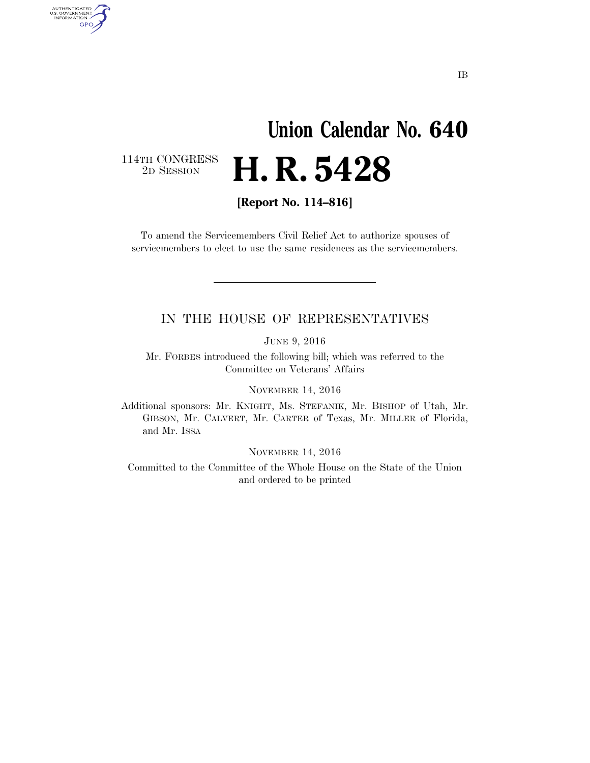# **Union Calendar No. 640**  2D SESSION **H. R. 5428**

114TH CONGRESS<br>2D SESSION

AUTHENTICATED<br>U.S. GOVERNMENT<br>INFORMATION GPO

**[Report No. 114–816]** 

To amend the Servicemembers Civil Relief Act to authorize spouses of servicemembers to elect to use the same residences as the servicemembers.

#### IN THE HOUSE OF REPRESENTATIVES

JUNE 9, 2016

Mr. FORBES introduced the following bill; which was referred to the Committee on Veterans' Affairs

NOVEMBER 14, 2016

Additional sponsors: Mr. KNIGHT, Ms. STEFANIK, Mr. BISHOP of Utah, Mr. GIBSON, Mr. CALVERT, Mr. CARTER of Texas, Mr. MILLER of Florida, and Mr. ISSA

NOVEMBER 14, 2016

Committed to the Committee of the Whole House on the State of the Union and ordered to be printed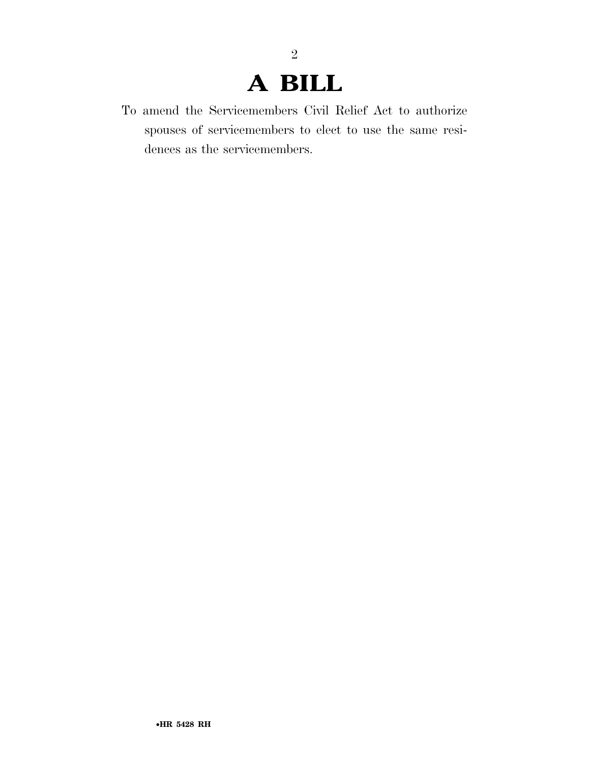2

To amend the Servicemembers Civil Relief Act to authorize spouses of servicemembers to elect to use the same residences as the servicemembers.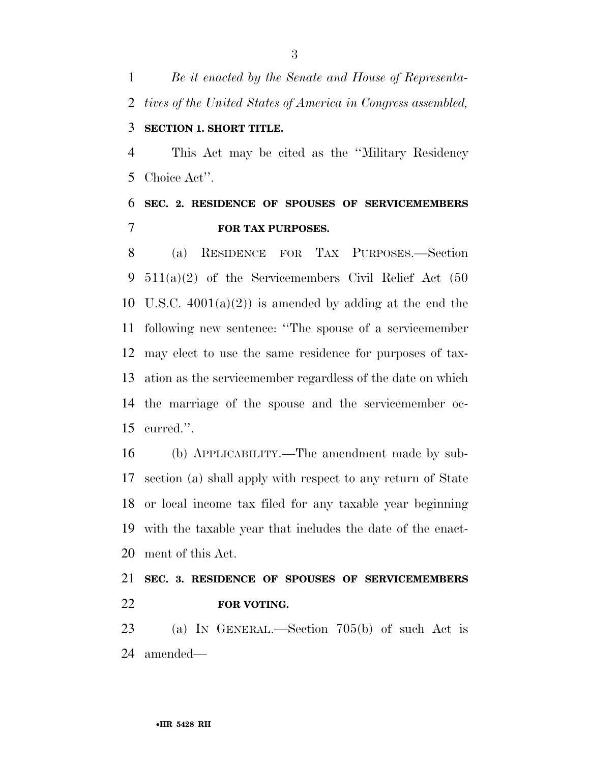*Be it enacted by the Senate and House of Representa- tives of the United States of America in Congress assembled,*  **SECTION 1. SHORT TITLE.** 

 This Act may be cited as the ''Military Residency Choice Act''.

### **SEC. 2. RESIDENCE OF SPOUSES OF SERVICEMEMBERS FOR TAX PURPOSES.**

 (a) RESIDENCE FOR TAX PURPOSES.—Section 511(a)(2) of the Servicemembers Civil Relief Act (50 10 U.S.C.  $4001(a)(2)$  is amended by adding at the end the following new sentence: ''The spouse of a servicemember may elect to use the same residence for purposes of tax- ation as the servicemember regardless of the date on which the marriage of the spouse and the servicemember oc-curred.''.

 (b) APPLICABILITY.—The amendment made by sub- section (a) shall apply with respect to any return of State or local income tax filed for any taxable year beginning with the taxable year that includes the date of the enact-ment of this Act.

### **SEC. 3. RESIDENCE OF SPOUSES OF SERVICEMEMBERS FOR VOTING.**

 (a) IN GENERAL.—Section 705(b) of such Act is amended—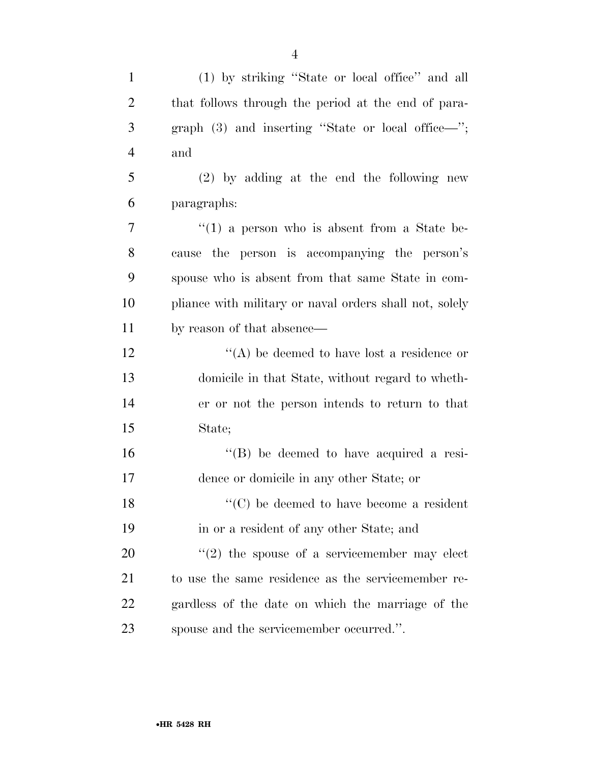| $\mathbf{1}$   | (1) by striking "State or local office" and all         |
|----------------|---------------------------------------------------------|
| $\overline{c}$ | that follows through the period at the end of para-     |
| 3              | graph $(3)$ and inserting "State or local office—";     |
| $\overline{4}$ | and                                                     |
| 5              | $(2)$ by adding at the end the following new            |
| 6              | paragraphs:                                             |
| $\tau$         | $\lq(1)$ a person who is absent from a State be-        |
| 8              | cause the person is accompanying the person's           |
| 9              | spouse who is absent from that same State in com-       |
| 10             | pliance with military or naval orders shall not, solely |
| 11             | by reason of that absence—                              |
| 12             | "(A) be deemed to have lost a residence or              |
| 13             | domicile in that State, without regard to wheth-        |
| 14             | er or not the person intends to return to that          |
| 15             | State;                                                  |
| 16             | $\lq\lq (B)$ be deemed to have acquired a resi-         |
| 17             | dence or domicile in any other State; or                |
| 18             | $\lq\lq$ (C) be deemed to have become a resident        |
| 19             | in or a resident of any other State; and                |
| 20             | $\lq(2)$ the spouse of a servicemember may elect        |
| 21             | to use the same residence as the servicemember re-      |
| 22             | gardless of the date on which the marriage of the       |
| 23             | spouse and the servicemember occurred.".                |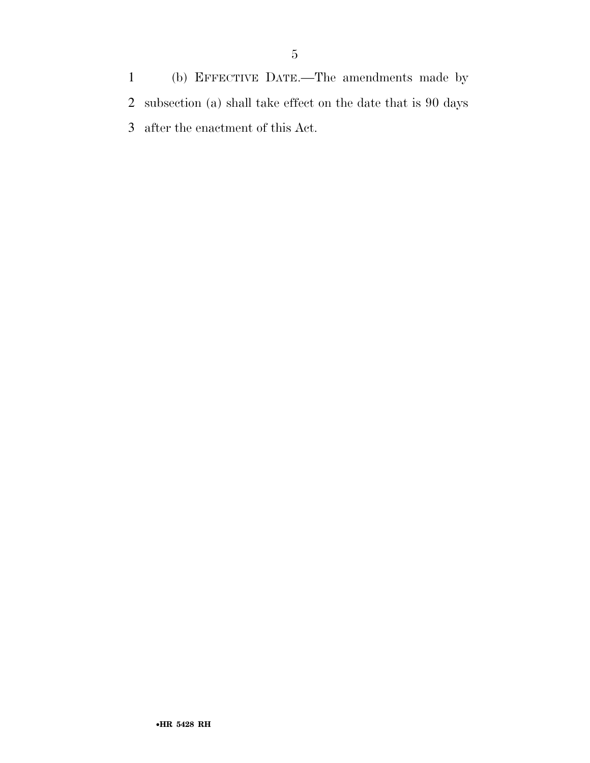(b) EFFECTIVE DATE.—The amendments made by subsection (a) shall take effect on the date that is 90 days after the enactment of this Act.